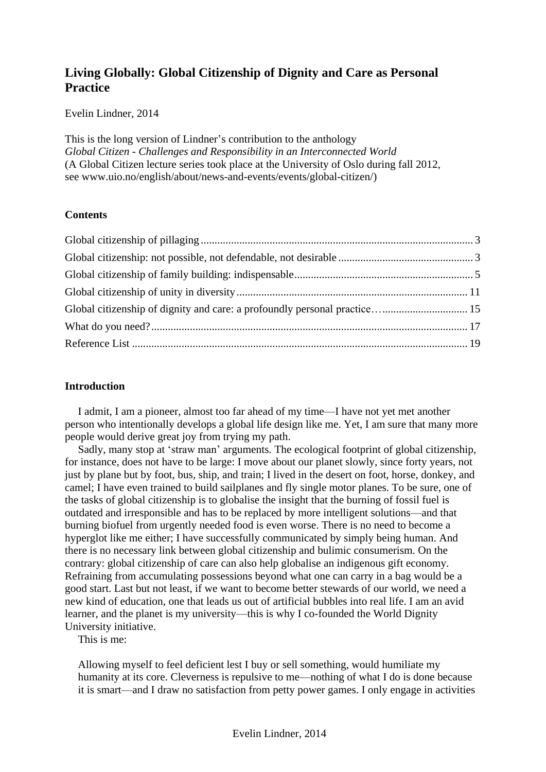# **Living Globally: Global Citizenship of Dignity and Care as Personal Practice**

Evelin Lindner, 2014

This is the long version of Lindner's contribution to the anthology *Global Citizen - Challenges and Responsibility in an Interconnected World* (A Global Citizen lecture series took place at the University of Oslo during fall 2012, see www.uio.no/english/about/news-and-events/events/global-citizen/)

# **Contents**

# **Introduction**

I admit, I am a pioneer, almost too far ahead of my time—I have not yet met another person who intentionally develops a global life design like me. Yet, I am sure that many more people would derive great joy from trying my path.

Sadly, many stop at 'straw man' arguments. The ecological footprint of global citizenship, for instance, does not have to be large: I move about our planet slowly, since forty years, not just by plane but by foot, bus, ship, and train; I lived in the desert on foot, horse, donkey, and camel; I have even trained to build sailplanes and fly single motor planes. To be sure, one of the tasks of global citizenship is to globalise the insight that the burning of fossil fuel is outdated and irresponsible and has to be replaced by more intelligent solutions—and that burning biofuel from urgently needed food is even worse. There is no need to become a hyperglot like me either; I have successfully communicated by simply being human. And there is no necessary link between global citizenship and bulimic consumerism. On the contrary: global citizenship of care can also help globalise an indigenous gift economy. Refraining from accumulating possessions beyond what one can carry in a bag would be a good start. Last but not least, if we want to become better stewards of our world, we need a new kind of education, one that leads us out of artificial bubbles into real life. I am an avid learner, and the planet is my university—this is why I co-founded the World Dignity University initiative.

This is me:

Allowing myself to feel deficient lest I buy or sell something, would humiliate my humanity at its core. Cleverness is repulsive to me—nothing of what I do is done because it is smart—and I draw no satisfaction from petty power games. I only engage in activities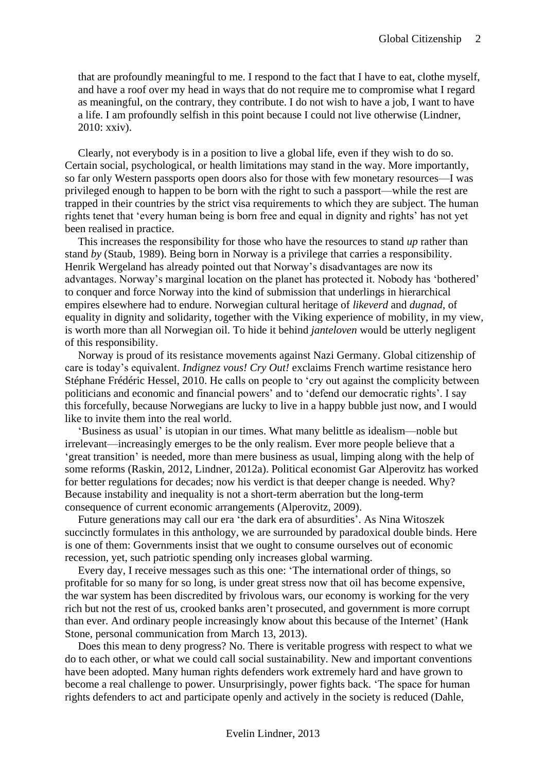that are profoundly meaningful to me. I respond to the fact that I have to eat, clothe myself, and have a roof over my head in ways that do not require me to compromise what I regard as meaningful, on the contrary, they contribute. I do not wish to have a job, I want to have a life. I am profoundly selfish in this point because I could not live otherwise (Lindner, 2010: xxiv).

Clearly, not everybody is in a position to live a global life, even if they wish to do so. Certain social, psychological, or health limitations may stand in the way. More importantly, so far only Western passports open doors also for those with few monetary resources—I was privileged enough to happen to be born with the right to such a passport—while the rest are trapped in their countries by the strict visa requirements to which they are subject. The human rights tenet that 'every human being is born free and equal in dignity and rights' has not yet been realised in practice.

This increases the responsibility for those who have the resources to stand *up* rather than stand *by* (Staub, 1989). Being born in Norway is a privilege that carries a responsibility. Henrik Wergeland has already pointed out that Norway's disadvantages are now its advantages. Norway's marginal location on the planet has protected it. Nobody has 'bothered' to conquer and force Norway into the kind of submission that underlings in hierarchical empires elsewhere had to endure. Norwegian cultural heritage of *likeverd* and *dugnad*, of equality in dignity and solidarity, together with the Viking experience of mobility, in my view, is worth more than all Norwegian oil. To hide it behind *janteloven* would be utterly negligent of this responsibility.

Norway is proud of its resistance movements against Nazi Germany. Global citizenship of care is today's equivalent. *Indignez vous! Cry Out!* exclaims French wartime resistance hero Stéphane Frédéric Hessel, 2010. He calls on people to 'cry out against the complicity between politicians and economic and financial powers' and to 'defend our democratic rights'. I say this forcefully, because Norwegians are lucky to live in a happy bubble just now, and I would like to invite them into the real world.

'Business as usual' is utopian in our times. What many belittle as idealism—noble but irrelevant—increasingly emerges to be the only realism. Ever more people believe that a 'great transition' is needed, more than mere business as usual, limping along with the help of some reforms (Raskin, 2012, Lindner, 2012a). Political economist Gar Alperovitz has worked for better regulations for decades; now his verdict is that deeper change is needed. Why? Because instability and inequality is not a short-term aberration but the long-term consequence of current economic arrangements (Alperovitz, 2009).

Future generations may call our era 'the dark era of absurdities'. As Nina Witoszek succinctly formulates in this anthology, we are surrounded by paradoxical double binds. Here is one of them: Governments insist that we ought to consume ourselves out of economic recession, yet, such patriotic spending only increases global warming.

Every day, I receive messages such as this one: 'The international order of things, so profitable for so many for so long, is under great stress now that oil has become expensive, the war system has been discredited by frivolous wars, our economy is working for the very rich but not the rest of us, crooked banks aren't prosecuted, and government is more corrupt than ever. And ordinary people increasingly know about this because of the Internet' (Hank Stone, personal communication from March 13, 2013).

Does this mean to deny progress? No. There is veritable progress with respect to what we do to each other, or what we could call social sustainability. New and important conventions have been adopted. Many human rights defenders work extremely hard and have grown to become a real challenge to power. Unsurprisingly, power fights back. 'The space for human rights defenders to act and participate openly and actively in the society is reduced (Dahle,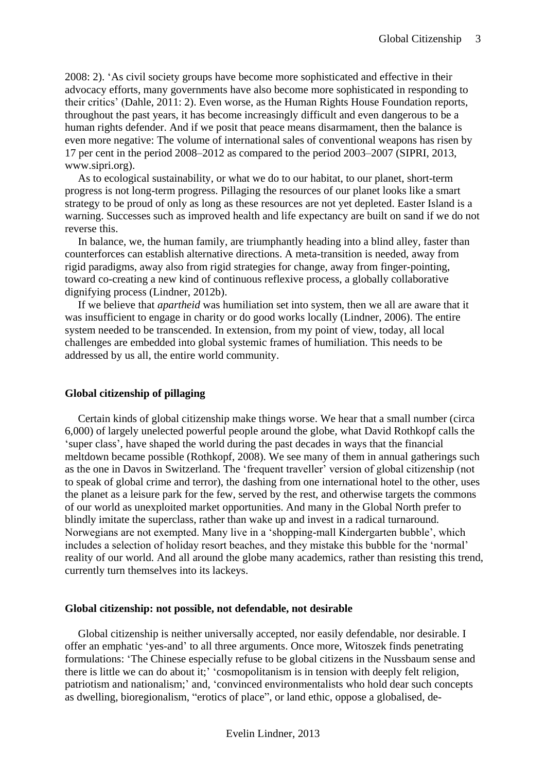2008: 2). 'As civil society groups have become more sophisticated and effective in their advocacy efforts, many governments have also become more sophisticated in responding to their critics' (Dahle, 2011: 2). Even worse, as the Human Rights House Foundation reports, throughout the past years, it has become increasingly difficult and even dangerous to be a human rights defender. And if we posit that peace means disarmament, then the balance is even more negative: The volume of international sales of conventional weapons has risen by 17 per cent in the period 2008–2012 as compared to the period 2003–2007 (SIPRI, 2013, www.sipri.org).

As to ecological sustainability, or what we do to our habitat, to our planet, short-term progress is not long-term progress. Pillaging the resources of our planet looks like a smart strategy to be proud of only as long as these resources are not yet depleted. Easter Island is a warning. Successes such as improved health and life expectancy are built on sand if we do not reverse this.

In balance, we, the human family, are triumphantly heading into a blind alley, faster than counterforces can establish alternative directions. A meta-transition is needed, away from rigid paradigms, away also from rigid strategies for change, away from finger-pointing, toward co-creating a new kind of continuous reflexive process, a globally collaborative dignifying process (Lindner, 2012b).

If we believe that *apartheid* was humiliation set into system, then we all are aware that it was insufficient to engage in charity or do good works locally (Lindner, 2006). The entire system needed to be transcended. In extension, from my point of view, today, all local challenges are embedded into global systemic frames of humiliation. This needs to be addressed by us all, the entire world community.

## <span id="page-2-0"></span>**Global citizenship of pillaging**

Certain kinds of global citizenship make things worse. We hear that a small number (circa 6,000) of largely unelected powerful people around the globe, what David Rothkopf calls the 'super class', have shaped the world during the past decades in ways that the financial meltdown became possible (Rothkopf, 2008). We see many of them in annual gatherings such as the one in Davos in Switzerland. The 'frequent traveller' version of global citizenship (not to speak of global crime and terror), the dashing from one international hotel to the other, uses the planet as a leisure park for the few, served by the rest, and otherwise targets the commons of our world as unexploited market opportunities. And many in the Global North prefer to blindly imitate the superclass, rather than wake up and invest in a radical turnaround. Norwegians are not exempted. Many live in a 'shopping-mall Kindergarten bubble', which includes a selection of holiday resort beaches, and they mistake this bubble for the 'normal' reality of our world. And all around the globe many academics, rather than resisting this trend, currently turn themselves into its lackeys.

## <span id="page-2-1"></span>**Global citizenship: not possible, not defendable, not desirable**

Global citizenship is neither universally accepted, nor easily defendable, nor desirable. I offer an emphatic 'yes-and' to all three arguments. Once more, Witoszek finds penetrating formulations: 'The Chinese especially refuse to be global citizens in the Nussbaum sense and there is little we can do about it;' 'cosmopolitanism is in tension with deeply felt religion, patriotism and nationalism;' and, 'convinced environmentalists who hold dear such concepts as dwelling, bioregionalism, "erotics of place", or land ethic, oppose a globalised, de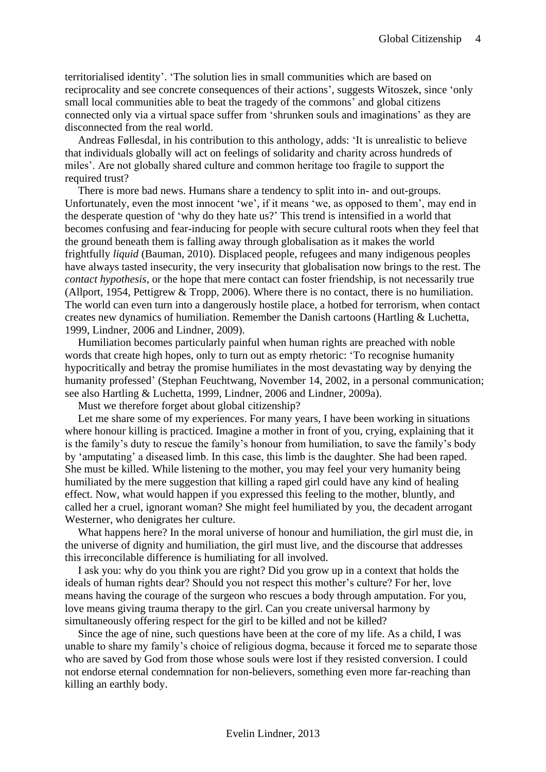territorialised identity'. 'The solution lies in small communities which are based on reciprocality and see concrete consequences of their actions', suggests Witoszek, since 'only small local communities able to beat the tragedy of the commons' and global citizens connected only via a virtual space suffer from 'shrunken souls and imaginations' as they are disconnected from the real world.

Andreas Føllesdal, in his contribution to this anthology, adds: 'It is unrealistic to believe that individuals globally will act on feelings of solidarity and charity across hundreds of miles'. Are not globally shared culture and common heritage too fragile to support the required trust?

There is more bad news. Humans share a tendency to split into in- and out-groups. Unfortunately, even the most innocent 'we', if it means 'we, as opposed to them', may end in the desperate question of 'why do they hate us?' This trend is intensified in a world that becomes confusing and fear-inducing for people with secure cultural roots when they feel that the ground beneath them is falling away through globalisation as it makes the world frightfully *liquid* (Bauman, 2010). Displaced people, refugees and many indigenous peoples have always tasted insecurity, the very insecurity that globalisation now brings to the rest. The *contact hypothesis*, or the hope that mere contact can foster friendship, is not necessarily true (Allport, 1954, Pettigrew & Tropp, 2006). Where there is no contact, there is no humiliation. The world can even turn into a dangerously hostile place, a hotbed for terrorism, when contact creates new dynamics of humiliation. Remember the Danish cartoons (Hartling & Luchetta, 1999, Lindner, 2006 and Lindner, 2009).

Humiliation becomes particularly painful when human rights are preached with noble words that create high hopes, only to turn out as empty rhetoric: 'To recognise humanity hypocritically and betray the promise humiliates in the most devastating way by denying the humanity professed' (Stephan Feuchtwang, November 14, 2002, in a personal communication; see also Hartling & Luchetta, 1999, Lindner, 2006 and Lindner, 2009a).

Must we therefore forget about global citizenship?

Let me share some of my experiences. For many years, I have been working in situations where honour killing is practiced. Imagine a mother in front of you, crying, explaining that it is the family's duty to rescue the family's honour from humiliation, to save the family's body by 'amputating' a diseased limb. In this case, this limb is the daughter. She had been raped. She must be killed. While listening to the mother, you may feel your very humanity being humiliated by the mere suggestion that killing a raped girl could have any kind of healing effect. Now, what would happen if you expressed this feeling to the mother, bluntly, and called her a cruel, ignorant woman? She might feel humiliated by you, the decadent arrogant Westerner, who denigrates her culture.

What happens here? In the moral universe of honour and humiliation, the girl must die, in the universe of dignity and humiliation, the girl must live, and the discourse that addresses this irreconcilable difference is humiliating for all involved.

I ask you: why do you think you are right? Did you grow up in a context that holds the ideals of human rights dear? Should you not respect this mother's culture? For her, love means having the courage of the surgeon who rescues a body through amputation. For you, love means giving trauma therapy to the girl. Can you create universal harmony by simultaneously offering respect for the girl to be killed and not be killed?

Since the age of nine, such questions have been at the core of my life. As a child, I was unable to share my family's choice of religious dogma, because it forced me to separate those who are saved by God from those whose souls were lost if they resisted conversion. I could not endorse eternal condemnation for non-believers, something even more far-reaching than killing an earthly body.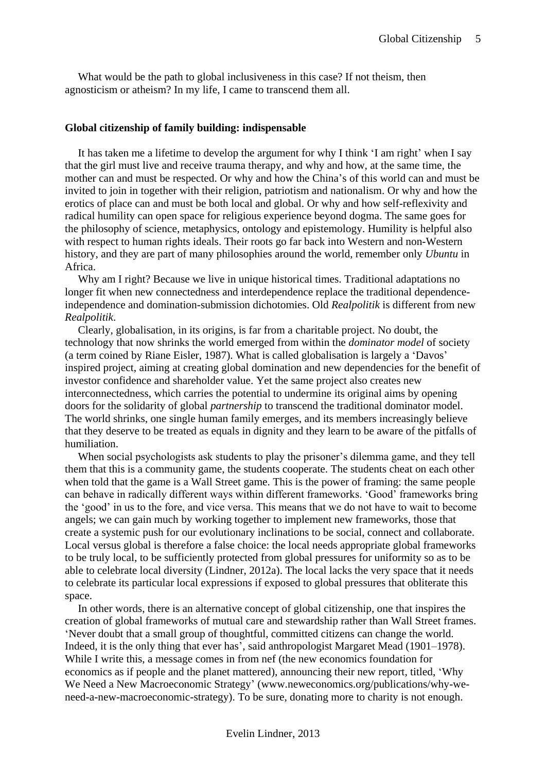What would be the path to global inclusiveness in this case? If not theism, then agnosticism or atheism? In my life, I came to transcend them all.

## <span id="page-4-0"></span>**Global citizenship of family building: indispensable**

It has taken me a lifetime to develop the argument for why I think 'I am right' when I say that the girl must live and receive trauma therapy, and why and how, at the same time, the mother can and must be respected. Or why and how the China's of this world can and must be invited to join in together with their religion, patriotism and nationalism. Or why and how the erotics of place can and must be both local and global. Or why and how self-reflexivity and radical humility can open space for religious experience beyond dogma. The same goes for the philosophy of science, metaphysics, ontology and epistemology. Humility is helpful also with respect to human rights ideals. Their roots go far back into Western and non-Western history, and they are part of many philosophies around the world, remember only *Ubuntu* in Africa.

Why am I right? Because we live in unique historical times. Traditional adaptations no longer fit when new connectedness and interdependence replace the traditional dependenceindependence and domination-submission dichotomies. Old *Realpolitik* is different from new *Realpolitik*.

Clearly, globalisation, in its origins, is far from a charitable project. No doubt, the technology that now shrinks the world emerged from within the *dominator model* of society (a term coined by Riane Eisler, 1987). What is called globalisation is largely a 'Davos' inspired project, aiming at creating global domination and new dependencies for the benefit of investor confidence and shareholder value. Yet the same project also creates new interconnectedness, which carries the potential to undermine its original aims by opening doors for the solidarity of global *partnership* to transcend the traditional dominator model. The world shrinks, one single human family emerges, and its members increasingly believe that they deserve to be treated as equals in dignity and they learn to be aware of the pitfalls of humiliation.

When social psychologists ask students to play the prisoner's dilemma game, and they tell them that this is a community game, the students cooperate. The students cheat on each other when told that the game is a Wall Street game. This is the power of framing: the same people can behave in radically different ways within different frameworks. 'Good' frameworks bring the 'good' in us to the fore, and vice versa. This means that we do not have to wait to become angels; we can gain much by working together to implement new frameworks, those that create a systemic push for our evolutionary inclinations to be social, connect and collaborate. Local versus global is therefore a false choice: the local needs appropriate global frameworks to be truly local, to be sufficiently protected from global pressures for uniformity so as to be able to celebrate local diversity (Lindner, 2012a). The local lacks the very space that it needs to celebrate its particular local expressions if exposed to global pressures that obliterate this space.

In other words, there is an alternative concept of global citizenship, one that inspires the creation of global frameworks of mutual care and stewardship rather than Wall Street frames. 'Never doubt that a small group of thoughtful, committed citizens can change the world. Indeed, it is the only thing that ever has', said anthropologist Margaret Mead (1901–1978). While I write this, a message comes in from nef (the new economics foundation for economics as if people and the planet mattered), announcing their new report, titled, 'Why We Need a New Macroeconomic Strategy' (www.neweconomics.org/publications/why-weneed-a-new-macroeconomic-strategy). To be sure, donating more to charity is not enough.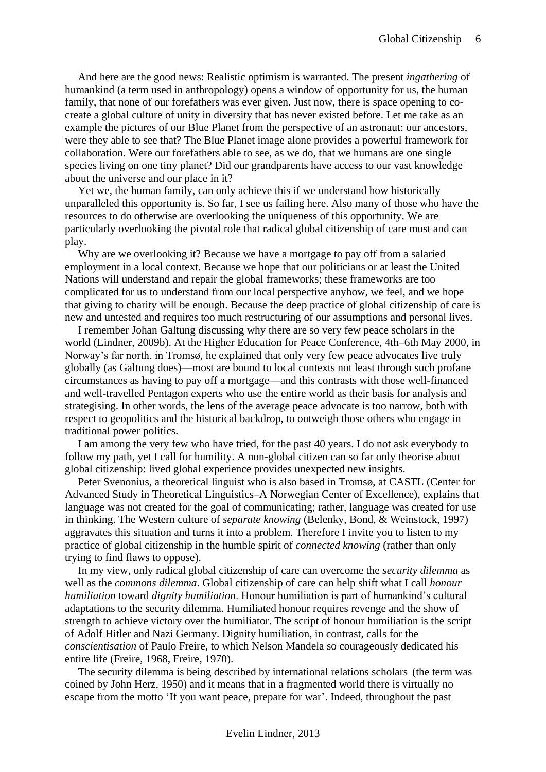And here are the good news: Realistic optimism is warranted. The present *ingathering* of humankind (a term used in anthropology) opens a window of opportunity for us, the human family, that none of our forefathers was ever given. Just now, there is space opening to cocreate a global culture of unity in diversity that has never existed before. Let me take as an example the pictures of our Blue Planet from the perspective of an astronaut: our ancestors, were they able to see that? The Blue Planet image alone provides a powerful framework for collaboration. Were our forefathers able to see, as we do, that we humans are one single species living on one tiny planet? Did our grandparents have access to our vast knowledge about the universe and our place in it?

Yet we, the human family, can only achieve this if we understand how historically unparalleled this opportunity is. So far, I see us failing here. Also many of those who have the resources to do otherwise are overlooking the uniqueness of this opportunity. We are particularly overlooking the pivotal role that radical global citizenship of care must and can play.

Why are we overlooking it? Because we have a mortgage to pay off from a salaried employment in a local context. Because we hope that our politicians or at least the United Nations will understand and repair the global frameworks; these frameworks are too complicated for us to understand from our local perspective anyhow, we feel, and we hope that giving to charity will be enough. Because the deep practice of global citizenship of care is new and untested and requires too much restructuring of our assumptions and personal lives.

I remember Johan Galtung discussing why there are so very few peace scholars in the world (Lindner, 2009b). At the Higher Education for Peace Conference, 4th–6th May 2000, in Norway's far north, in Tromsø, he explained that only very few peace advocates live truly globally (as Galtung does)—most are bound to local contexts not least through such profane circumstances as having to pay off a mortgage—and this contrasts with those well-financed and well-travelled Pentagon experts who use the entire world as their basis for analysis and strategising. In other words, the lens of the average peace advocate is too narrow, both with respect to geopolitics and the historical backdrop, to outweigh those others who engage in traditional power politics.

I am among the very few who have tried, for the past 40 years. I do not ask everybody to follow my path, yet I call for humility. A non-global citizen can so far only theorise about global citizenship: lived global experience provides unexpected new insights.

Peter Svenonius, a theoretical linguist who is also based in Tromsø, at CASTL (Center for Advanced Study in Theoretical Linguistics–A Norwegian Center of Excellence), explains that language was not created for the goal of communicating; rather, language was created for use in thinking. The Western culture of *separate knowing* (Belenky, Bond, & Weinstock, 1997) aggravates this situation and turns it into a problem. Therefore I invite you to listen to my practice of global citizenship in the humble spirit of *connected knowing* (rather than only trying to find flaws to oppose).

In my view, only radical global citizenship of care can overcome the *security dilemma* as well as the *commons dilemma*. Global citizenship of care can help shift what I call *honour humiliation* toward *dignity humiliation*. Honour humiliation is part of humankind's cultural adaptations to the security dilemma. Humiliated honour requires revenge and the show of strength to achieve victory over the humiliator. The script of honour humiliation is the script of Adolf Hitler and Nazi Germany. Dignity humiliation, in contrast, calls for the *conscientisation* of Paulo Freire, to which Nelson Mandela so courageously dedicated his entire life (Freire, 1968, Freire, 1970).

The security dilemma is being described by international relations scholars (the term was coined by John Herz, 1950) and it means that in a fragmented world there is virtually no escape from the motto 'If you want peace, prepare for war'. Indeed, throughout the past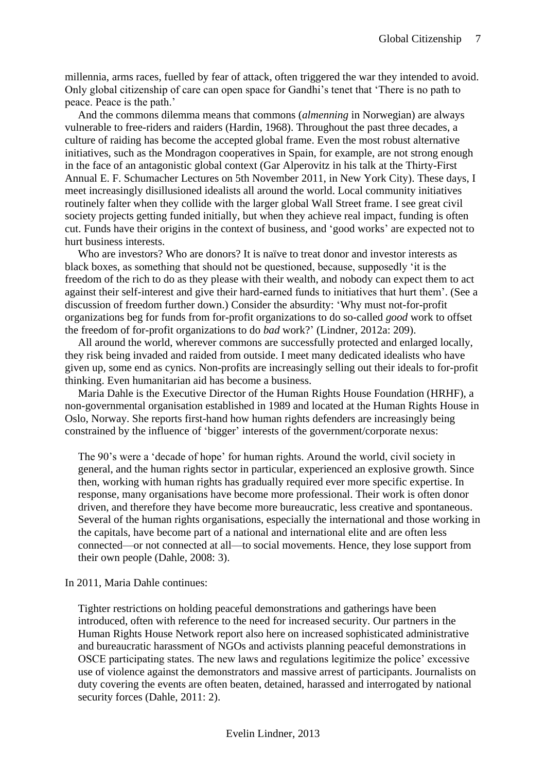millennia, arms races, fuelled by fear of attack, often triggered the war they intended to avoid. Only global citizenship of care can open space for Gandhi's tenet that 'There is no path to peace. Peace is the path.'

And the commons dilemma means that commons (*almenning* in Norwegian) are always vulnerable to free-riders and raiders (Hardin, 1968). Throughout the past three decades, a culture of raiding has become the accepted global frame. Even the most robust alternative initiatives, such as the Mondragon cooperatives in Spain, for example, are not strong enough in the face of an antagonistic global context (Gar Alperovitz in his talk at the Thirty-First Annual E. F. Schumacher Lectures on 5th November 2011, in New York City). These days, I meet increasingly disillusioned idealists all around the world. Local community initiatives routinely falter when they collide with the larger global Wall Street frame. I see great civil society projects getting funded initially, but when they achieve real impact, funding is often cut. Funds have their origins in the context of business, and 'good works' are expected not to hurt business interests.

Who are investors? Who are donors? It is naïve to treat donor and investor interests as black boxes, as something that should not be questioned, because, supposedly 'it is the freedom of the rich to do as they please with their wealth, and nobody can expect them to act against their self-interest and give their hard-earned funds to initiatives that hurt them'. (See a discussion of freedom further down.) Consider the absurdity: 'Why must not-for-profit organizations beg for funds from for-profit organizations to do so-called *good* work to offset the freedom of for-profit organizations to do *bad* work?' (Lindner, 2012a: 209).

All around the world, wherever commons are successfully protected and enlarged locally, they risk being invaded and raided from outside. I meet many dedicated idealists who have given up, some end as cynics. Non-profits are increasingly selling out their ideals to for-profit thinking. Even humanitarian aid has become a business.

Maria Dahle is the Executive Director of the Human Rights House Foundation (HRHF), a non-governmental organisation established in 1989 and located at the Human Rights House in Oslo, Norway. She reports first-hand how human rights defenders are increasingly being constrained by the influence of 'bigger' interests of the government/corporate nexus:

The 90's were a 'decade of hope' for human rights. Around the world, civil society in general, and the human rights sector in particular, experienced an explosive growth. Since then, working with human rights has gradually required ever more specific expertise. In response, many organisations have become more professional. Their work is often donor driven, and therefore they have become more bureaucratic, less creative and spontaneous. Several of the human rights organisations, especially the international and those working in the capitals, have become part of a national and international elite and are often less connected—or not connected at all—to social movements. Hence, they lose support from their own people (Dahle, 2008: 3).

In 2011, Maria Dahle continues:

Tighter restrictions on holding peaceful demonstrations and gatherings have been introduced, often with reference to the need for increased security. Our partners in the Human Rights House Network report also here on increased sophisticated administrative and bureaucratic harassment of NGOs and activists planning peaceful demonstrations in OSCE participating states. The new laws and regulations legitimize the police' excessive use of violence against the demonstrators and massive arrest of participants. Journalists on duty covering the events are often beaten, detained, harassed and interrogated by national security forces (Dahle, 2011: 2).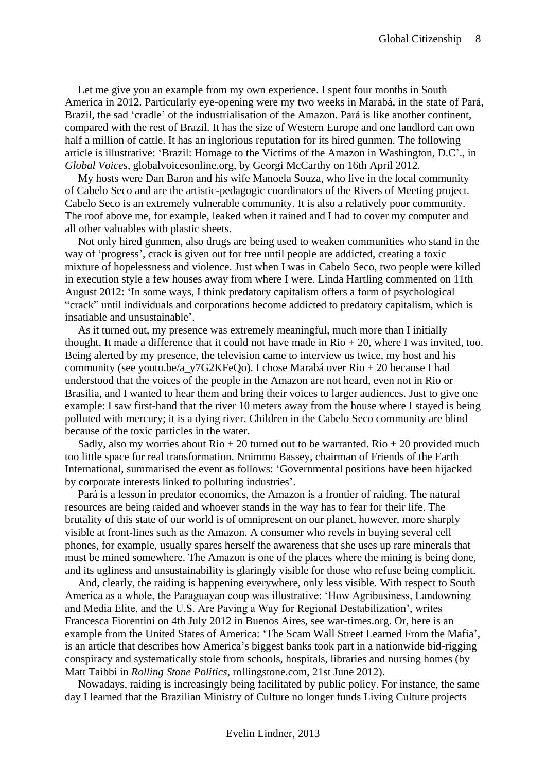Let me give you an example from my own experience. I spent four months in South America in 2012. Particularly eye-opening were my two weeks in Marabá, in the state of Pará, Brazil, the sad 'cradle' of the industrialisation of the Amazon. Pará is like another continent, compared with the rest of Brazil. It has the size of Western Europe and one landlord can own half a million of cattle. It has an inglorious reputation for its hired gunmen. The following article is illustrative: 'Brazil: Homage to the Victims of the Amazon in Washington, D.C'., in *Global Voices*, globalvoicesonline.org, by Georgi McCarthy on 16th April 2012.

My hosts were Dan Baron and his wife Manoela Souza, who live in the local community of Cabelo Seco and are the artistic-pedagogic coordinators of the Rivers of Meeting project. Cabelo Seco is an extremely vulnerable community. It is also a relatively poor community. The roof above me, for example, leaked when it rained and I had to cover my computer and all other valuables with plastic sheets.

Not only hired gunmen, also drugs are being used to weaken communities who stand in the way of 'progress', crack is given out for free until people are addicted, creating a toxic mixture of hopelessness and violence. Just when I was in Cabelo Seco, two people were killed in execution style a few houses away from where I were. Linda Hartling commented on 11th August 2012: 'In some ways, I think predatory capitalism offers a form of psychological "crack" until individuals and corporations become addicted to predatory capitalism, which is insatiable and unsustainable'.

As it turned out, my presence was extremely meaningful, much more than I initially thought. It made a difference that it could not have made in  $R$ io + 20, where I was invited, too. Being alerted by my presence, the television came to interview us twice, my host and his community (see youtu.be/a\_y7G2KFeQo). I chose Marabá over Rio + 20 because I had understood that the voices of the people in the Amazon are not heard, even not in Rio or Brasilia, and I wanted to hear them and bring their voices to larger audiences. Just to give one example: I saw first-hand that the river 10 meters away from the house where I stayed is being polluted with mercury; it is a dying river. Children in the Cabelo Seco community are blind because of the toxic particles in the water.

Sadly, also my worries about  $\text{Rio} + 20$  turned out to be warranted.  $\text{Rio} + 20$  provided much too little space for real transformation. Nnimmo Bassey, chairman of Friends of the Earth International, summarised the event as follows: 'Governmental positions have been hijacked by corporate interests linked to polluting industries'.

Pará is a lesson in predator economics, the Amazon is a frontier of raiding. The natural resources are being raided and whoever stands in the way has to fear for their life. The brutality of this state of our world is of omnipresent on our planet, however, more sharply visible at front-lines such as the Amazon. A consumer who revels in buying several cell phones, for example, usually spares herself the awareness that she uses up rare minerals that must be mined somewhere. The Amazon is one of the places where the mining is being done, and its ugliness and unsustainability is glaringly visible for those who refuse being complicit.

And, clearly, the raiding is happening everywhere, only less visible. With respect to South America as a whole, the Paraguayan coup was illustrative: 'How Agribusiness, Landowning and Media Elite, and the U.S. Are Paving a Way for Regional Destabilization', writes Francesca Fiorentini on 4th July 2012 in Buenos Aires, see war-times.org. Or, here is an example from the United States of America: 'The Scam Wall Street Learned From the Mafia', is an article that describes how America's biggest banks took part in a nationwide bid-rigging conspiracy and systematically stole from schools, hospitals, libraries and nursing homes (by Matt Taibbi in *Rolling Stone Politics*, rollingstone.com, 21st June 2012).

Nowadays, raiding is increasingly being facilitated by public policy. For instance, the same day I learned that the Brazilian Ministry of Culture no longer funds Living Culture projects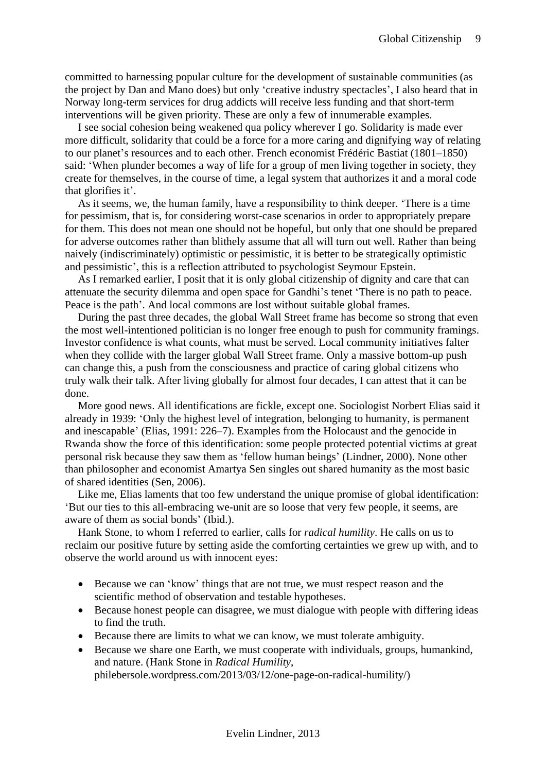committed to harnessing popular culture for the development of sustainable communities (as the project by Dan and Mano does) but only 'creative industry spectacles', I also heard that in Norway long-term services for drug addicts will receive less funding and that short-term interventions will be given priority. These are only a few of innumerable examples.

I see social cohesion being weakened qua policy wherever I go. Solidarity is made ever more difficult, solidarity that could be a force for a more caring and dignifying way of relating to our planet's resources and to each other. French economist Frédéric Bastiat (1801–1850) said: 'When plunder becomes a way of life for a group of men living together in society, they create for themselves, in the course of time, a legal system that authorizes it and a moral code that glorifies it'.

As it seems, we, the human family, have a responsibility to think deeper. 'There is a time for pessimism, that is, for considering worst-case scenarios in order to appropriately prepare for them. This does not mean one should not be hopeful, but only that one should be prepared for adverse outcomes rather than blithely assume that all will turn out well. Rather than being naively (indiscriminately) optimistic or pessimistic, it is better to be strategically optimistic and pessimistic', this is a reflection attributed to psychologist Seymour Epstein.

As I remarked earlier, I posit that it is only global citizenship of dignity and care that can attenuate the security dilemma and open space for Gandhi's tenet 'There is no path to peace. Peace is the path'. And local commons are lost without suitable global frames.

During the past three decades, the global Wall Street frame has become so strong that even the most well-intentioned politician is no longer free enough to push for community framings. Investor confidence is what counts, what must be served. Local community initiatives falter when they collide with the larger global Wall Street frame. Only a massive bottom-up push can change this, a push from the consciousness and practice of caring global citizens who truly walk their talk. After living globally for almost four decades, I can attest that it can be done.

More good news. All identifications are fickle, except one. Sociologist Norbert Elias said it already in 1939: 'Only the highest level of integration, belonging to humanity, is permanent and inescapable' (Elias, 1991: 226–7). Examples from the Holocaust and the genocide in Rwanda show the force of this identification: some people protected potential victims at great personal risk because they saw them as 'fellow human beings' (Lindner, 2000). None other than philosopher and economist Amartya Sen singles out shared humanity as the most basic of shared identities (Sen, 2006).

Like me, Elias laments that too few understand the unique promise of global identification: 'But our ties to this all-embracing we-unit are so loose that very few people, it seems, are aware of them as social bonds' (Ibid.).

Hank Stone, to whom I referred to earlier, calls for *radical humility*. He calls on us to reclaim our positive future by setting aside the comforting certainties we grew up with, and to observe the world around us with innocent eyes:

- Because we can 'know' things that are not true, we must respect reason and the scientific method of observation and testable hypotheses.
- Because honest people can disagree, we must dialogue with people with differing ideas to find the truth.
- Because there are limits to what we can know, we must tolerate ambiguity.
- Because we share one Earth, we must cooperate with individuals, groups, humankind, and nature. (Hank Stone in *Radical Humility*, philebersole.wordpress.com/2013/03/12/one-page-on-radical-humility/)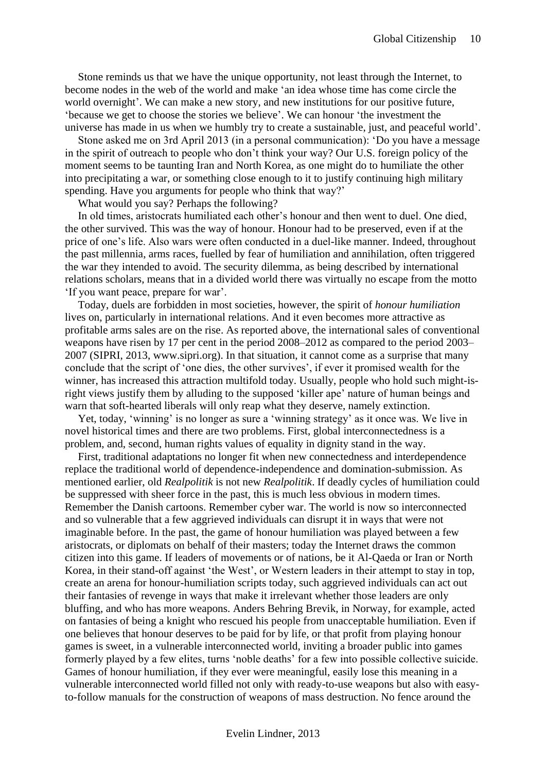Stone reminds us that we have the unique opportunity, not least through the Internet, to become nodes in the web of the world and make 'an idea whose time has come circle the world overnight'. We can make a new story, and new institutions for our positive future, 'because we get to choose the stories we believe'. We can honour 'the investment the universe has made in us when we humbly try to create a sustainable, just, and peaceful world'.

Stone asked me on 3rd April 2013 (in a personal communication): 'Do you have a message in the spirit of outreach to people who don't think your way? Our U.S. foreign policy of the moment seems to be taunting Iran and North Korea, as one might do to humiliate the other into precipitating a war, or something close enough to it to justify continuing high military spending. Have you arguments for people who think that way?'

What would you say? Perhaps the following?

In old times, aristocrats humiliated each other's honour and then went to duel. One died, the other survived. This was the way of honour. Honour had to be preserved, even if at the price of one's life. Also wars were often conducted in a duel-like manner. Indeed, throughout the past millennia, arms races, fuelled by fear of humiliation and annihilation, often triggered the war they intended to avoid. The security dilemma, as being described by international relations scholars, means that in a divided world there was virtually no escape from the motto 'If you want peace, prepare for war'.

Today, duels are forbidden in most societies, however, the spirit of *honour humiliation* lives on, particularly in international relations. And it even becomes more attractive as profitable arms sales are on the rise. As reported above, the international sales of conventional weapons have risen by 17 per cent in the period 2008–2012 as compared to the period 2003– 2007 (SIPRI, 2013, www.sipri.org). In that situation, it cannot come as a surprise that many conclude that the script of 'one dies, the other survives', if ever it promised wealth for the winner, has increased this attraction multifold today. Usually, people who hold such might-isright views justify them by alluding to the supposed 'killer ape' nature of human beings and warn that soft-hearted liberals will only reap what they deserve, namely extinction.

Yet, today, 'winning' is no longer as sure a 'winning strategy' as it once was. We live in novel historical times and there are two problems. First, global interconnectedness is a problem, and, second, human rights values of equality in dignity stand in the way.

First, traditional adaptations no longer fit when new connectedness and interdependence replace the traditional world of dependence-independence and domination-submission. As mentioned earlier, old *Realpolitik* is not new *Realpolitik*. If deadly cycles of humiliation could be suppressed with sheer force in the past, this is much less obvious in modern times. Remember the Danish cartoons. Remember cyber war. The world is now so interconnected and so vulnerable that a few aggrieved individuals can disrupt it in ways that were not imaginable before. In the past, the game of honour humiliation was played between a few aristocrats, or diplomats on behalf of their masters; today the Internet draws the common citizen into this game. If leaders of movements or of nations, be it Al-Qaeda or Iran or North Korea, in their stand-off against 'the West', or Western leaders in their attempt to stay in top, create an arena for honour-humiliation scripts today, such aggrieved individuals can act out their fantasies of revenge in ways that make it irrelevant whether those leaders are only bluffing, and who has more weapons. Anders Behring Brevik, in Norway, for example, acted on fantasies of being a knight who rescued his people from unacceptable humiliation. Even if one believes that honour deserves to be paid for by life, or that profit from playing honour games is sweet, in a vulnerable interconnected world, inviting a broader public into games formerly played by a few elites, turns 'noble deaths' for a few into possible collective suicide. Games of honour humiliation, if they ever were meaningful, easily lose this meaning in a vulnerable interconnected world filled not only with ready-to-use weapons but also with easyto-follow manuals for the construction of weapons of mass destruction. No fence around the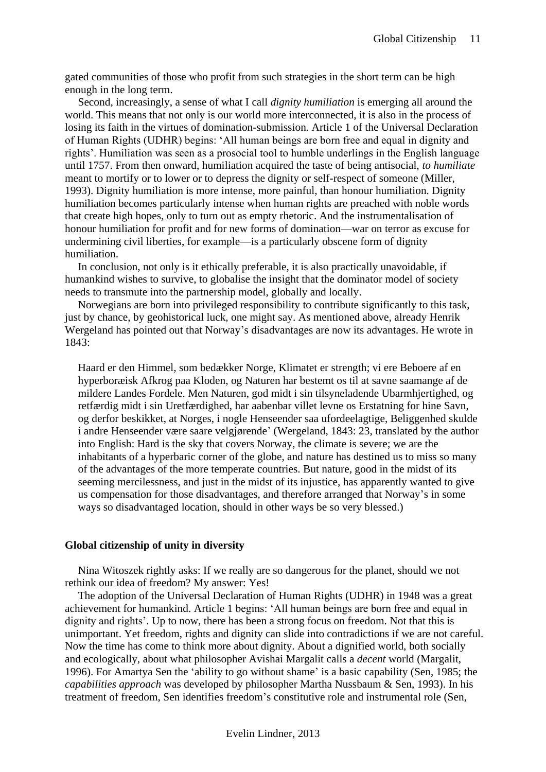gated communities of those who profit from such strategies in the short term can be high enough in the long term.

Second, increasingly, a sense of what I call *dignity humiliation* is emerging all around the world. This means that not only is our world more interconnected, it is also in the process of losing its faith in the virtues of domination-submission. Article 1 of the Universal Declaration of Human Rights (UDHR) begins: 'All human beings are born free and equal in dignity and rights'. Humiliation was seen as a prosocial tool to humble underlings in the English language until 1757. From then onward, humiliation acquired the taste of being antisocial, *to humiliate* meant to mortify or to lower or to depress the dignity or self-respect of someone (Miller, 1993). Dignity humiliation is more intense, more painful, than honour humiliation. Dignity humiliation becomes particularly intense when human rights are preached with noble words that create high hopes, only to turn out as empty rhetoric. And the instrumentalisation of honour humiliation for profit and for new forms of domination—war on terror as excuse for undermining civil liberties, for example—is a particularly obscene form of dignity humiliation.

In conclusion, not only is it ethically preferable, it is also practically unavoidable, if humankind wishes to survive, to globalise the insight that the dominator model of society needs to transmute into the partnership model, globally and locally.

Norwegians are born into privileged responsibility to contribute significantly to this task, just by chance, by geohistorical luck, one might say. As mentioned above, already Henrik Wergeland has pointed out that Norway's disadvantages are now its advantages. He wrote in 1843:

Haard er den Himmel, som bedækker Norge, Klimatet er strength; vi ere Beboere af en hyperboræisk Afkrog paa Kloden, og Naturen har bestemt os til at savne saamange af de mildere Landes Fordele. Men Naturen, god midt i sin tilsyneladende Ubarmhjertighed, og retfærdig midt i sin Uretfærdighed, har aabenbar villet levne os Erstatning for hine Savn, og derfor beskikket, at Norges, i nogle Henseender saa ufordeelagtige, Beliggenhed skulde i andre Henseender være saare velgjørende' (Wergeland, 1843: 23, translated by the author into English: Hard is the sky that covers Norway, the climate is severe; we are the inhabitants of a hyperbaric corner of the globe, and nature has destined us to miss so many of the advantages of the more temperate countries. But nature, good in the midst of its seeming mercilessness, and just in the midst of its injustice, has apparently wanted to give us compensation for those disadvantages, and therefore arranged that Norway's in some ways so disadvantaged location, should in other ways be so very blessed.)

#### <span id="page-10-0"></span>**Global citizenship of unity in diversity**

Nina Witoszek rightly asks: If we really are so dangerous for the planet, should we not rethink our idea of freedom? My answer: Yes!

The adoption of the Universal Declaration of Human Rights (UDHR) in 1948 was a great achievement for humankind. Article 1 begins: 'All human beings are born free and equal in dignity and rights'. Up to now, there has been a strong focus on freedom. Not that this is unimportant. Yet freedom, rights and dignity can slide into contradictions if we are not careful. Now the time has come to think more about dignity. About a dignified world, both socially and ecologically, about what philosopher Avishai Margalit calls a *decent* world (Margalit, 1996). For Amartya Sen the 'ability to go without shame' is a basic capability (Sen, 1985; the *capabilities approach* was developed by philosopher Martha Nussbaum & Sen, 1993). In his treatment of freedom, Sen identifies freedom's constitutive role and instrumental role (Sen,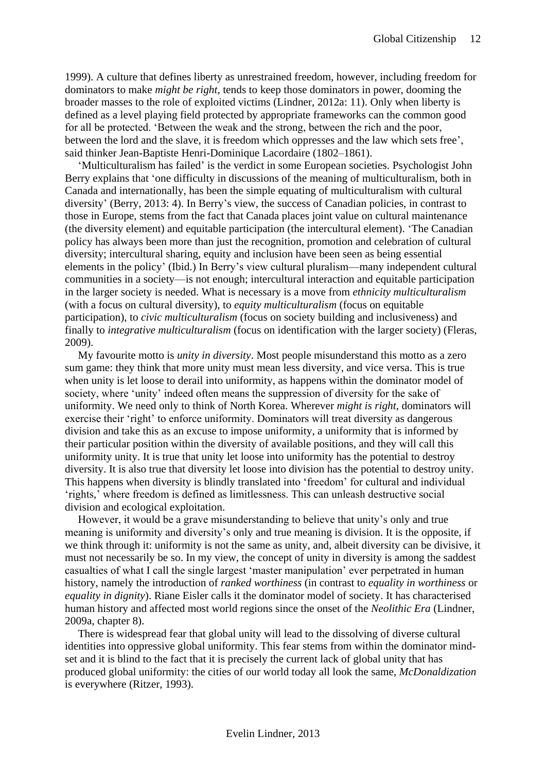1999). A culture that defines liberty as unrestrained freedom, however, including freedom for dominators to make *might be right*, tends to keep those dominators in power, dooming the broader masses to the role of exploited victims (Lindner, 2012a: 11). Only when liberty is defined as a level playing field protected by appropriate frameworks can the common good for all be protected. 'Between the weak and the strong, between the rich and the poor, between the lord and the slave, it is freedom which oppresses and the law which sets free', said thinker Jean-Baptiste Henri-Dominique Lacordaire (1802–1861).

'Multiculturalism has failed' is the verdict in some European societies. Psychologist John Berry explains that 'one difficulty in discussions of the meaning of multiculturalism, both in Canada and internationally, has been the simple equating of multiculturalism with cultural diversity' (Berry, 2013: 4). In Berry's view, the success of Canadian policies, in contrast to those in Europe, stems from the fact that Canada places joint value on cultural maintenance (the diversity element) and equitable participation (the intercultural element). 'The Canadian policy has always been more than just the recognition, promotion and celebration of cultural diversity; intercultural sharing, equity and inclusion have been seen as being essential elements in the policy' (Ibid.) In Berry's view cultural pluralism—many independent cultural communities in a society—is not enough; intercultural interaction and equitable participation in the larger society is needed. What is necessary is a move from *ethnicity multiculturalism* (with a focus on cultural diversity), to *equity multiculturalism* (focus on equitable participation), to *civic multiculturalism* (focus on society building and inclusiveness) and finally to *integrative multiculturalism* (focus on identification with the larger society) (Fleras, 2009).

My favourite motto is *unity in diversity*. Most people misunderstand this motto as a zero sum game: they think that more unity must mean less diversity, and vice versa. This is true when unity is let loose to derail into uniformity, as happens within the dominator model of society, where 'unity' indeed often means the suppression of diversity for the sake of uniformity. We need only to think of North Korea. Wherever *might is right*, dominators will exercise their 'right' to enforce uniformity. Dominators will treat diversity as dangerous division and take this as an excuse to impose uniformity, a uniformity that is informed by their particular position within the diversity of available positions, and they will call this uniformity unity. It is true that unity let loose into uniformity has the potential to destroy diversity. It is also true that diversity let loose into division has the potential to destroy unity. This happens when diversity is blindly translated into 'freedom' for cultural and individual 'rights,' where freedom is defined as limitlessness. This can unleash destructive social division and ecological exploitation.

However, it would be a grave misunderstanding to believe that unity's only and true meaning is uniformity and diversity's only and true meaning is division. It is the opposite, if we think through it: uniformity is not the same as unity, and, albeit diversity can be divisive, it must not necessarily be so. In my view, the concept of unity in diversity is among the saddest casualties of what I call the single largest 'master manipulation' ever perpetrated in human history, namely the introduction of *ranked worthiness* (in contrast to *equality in worthiness* or *equality in dignity*). Riane Eisler calls it the dominator model of society. It has characterised human history and affected most world regions since the onset of the *Neolithic Era* (Lindner, 2009a, chapter 8).

There is widespread fear that global unity will lead to the dissolving of diverse cultural identities into oppressive global uniformity. This fear stems from within the dominator mindset and it is blind to the fact that it is precisely the current lack of global unity that has produced global uniformity: the cities of our world today all look the same, *McDonaldization* is everywhere (Ritzer, 1993).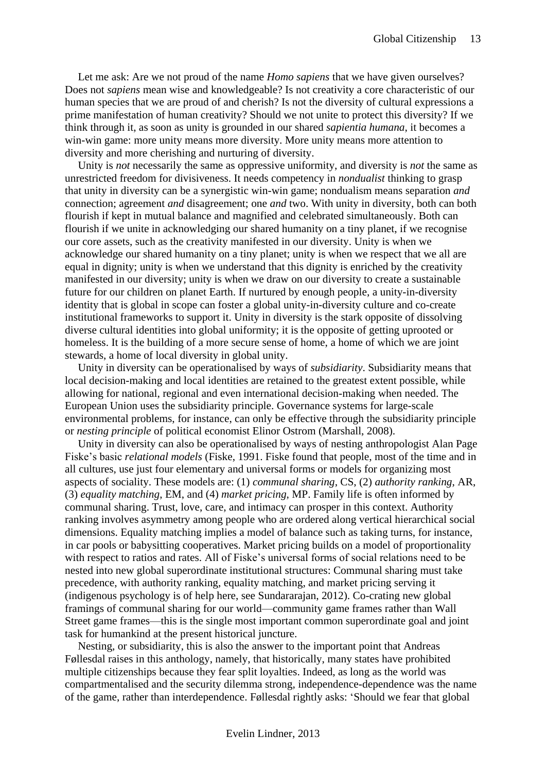Let me ask: Are we not proud of the name *Homo sapiens* that we have given ourselves? Does not *sapiens* mean wise and knowledgeable? Is not creativity a core characteristic of our human species that we are proud of and cherish? Is not the diversity of cultural expressions a prime manifestation of human creativity? Should we not unite to protect this diversity? If we think through it, as soon as unity is grounded in our shared *sapientia humana*, it becomes a win-win game: more unity means more diversity. More unity means more attention to diversity and more cherishing and nurturing of diversity.

Unity is *not* necessarily the same as oppressive uniformity, and diversity is *not* the same as unrestricted freedom for divisiveness. It needs competency in *nondualist* thinking to grasp that unity in diversity can be a synergistic win-win game; nondualism means separation *and* connection; agreement *and* disagreement; one *and* two. With unity in diversity, both can both flourish if kept in mutual balance and magnified and celebrated simultaneously. Both can flourish if we unite in acknowledging our shared humanity on a tiny planet, if we recognise our core assets, such as the creativity manifested in our diversity. Unity is when we acknowledge our shared humanity on a tiny planet; unity is when we respect that we all are equal in dignity; unity is when we understand that this dignity is enriched by the creativity manifested in our diversity; unity is when we draw on our diversity to create a sustainable future for our children on planet Earth. If nurtured by enough people, a unity-in-diversity identity that is global in scope can foster a global unity-in-diversity culture and co-create institutional frameworks to support it. Unity in diversity is the stark opposite of dissolving diverse cultural identities into global uniformity; it is the opposite of getting uprooted or homeless. It is the building of a more secure sense of home, a home of which we are joint stewards, a home of local diversity in global unity.

Unity in diversity can be operationalised by ways of *subsidiarity*. Subsidiarity means that local decision-making and local identities are retained to the greatest extent possible, while allowing for national, regional and even international decision-making when needed. The European Union uses the subsidiarity principle. Governance systems for large-scale environmental problems, for instance, can only be effective through the subsidiarity principle or *nesting principle* of political economist Elinor Ostrom (Marshall, 2008).

Unity in diversity can also be operationalised by ways of nesting anthropologist Alan Page Fiske's basic *relational models* (Fiske, 1991. Fiske found that people, most of the time and in all cultures, use just four elementary and universal forms or models for organizing most aspects of sociality. These models are: (1) *communal sharing*, CS, (2) *authority ranking*, AR, (3) *equality matching*, EM, and (4) *market pricing*, MP. Family life is often informed by communal sharing. Trust, love, care, and intimacy can prosper in this context. Authority ranking involves asymmetry among people who are ordered along vertical hierarchical social dimensions. Equality matching implies a model of balance such as taking turns, for instance, in car pools or babysitting cooperatives. Market pricing builds on a model of proportionality with respect to ratios and rates. All of Fiske's universal forms of social relations need to be nested into new global superordinate institutional structures: Communal sharing must take precedence, with authority ranking, equality matching, and market pricing serving it (indigenous psychology is of help here, see Sundararajan, 2012). Co-crating new global framings of communal sharing for our world—community game frames rather than Wall Street game frames—this is the single most important common superordinate goal and joint task for humankind at the present historical juncture.

Nesting, or subsidiarity, this is also the answer to the important point that Andreas Føllesdal raises in this anthology, namely, that historically, many states have prohibited multiple citizenships because they fear split loyalties. Indeed, as long as the world was compartmentalised and the security dilemma strong, independence-dependence was the name of the game, rather than interdependence. Føllesdal rightly asks: 'Should we fear that global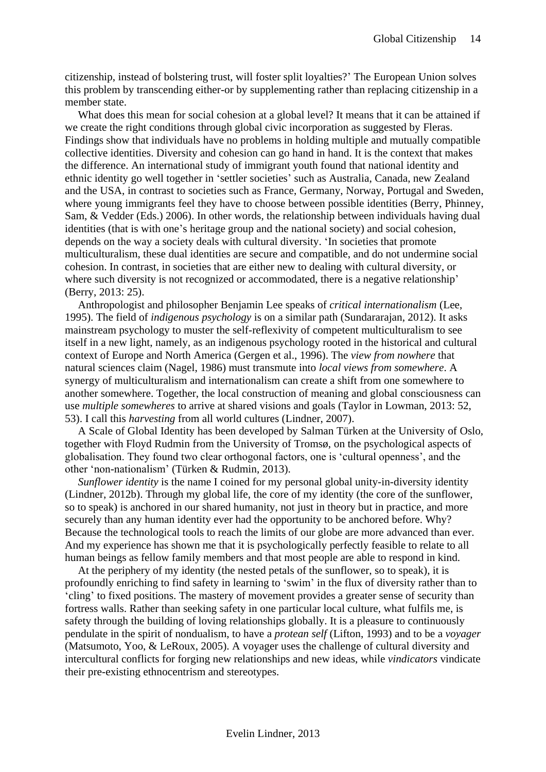citizenship, instead of bolstering trust, will foster split loyalties?' The European Union solves this problem by transcending either-or by supplementing rather than replacing citizenship in a member state.

What does this mean for social cohesion at a global level? It means that it can be attained if we create the right conditions through global civic incorporation as suggested by Fleras. Findings show that individuals have no problems in holding multiple and mutually compatible collective identities. Diversity and cohesion can go hand in hand. It is the context that makes the difference. An international study of immigrant youth found that national identity and ethnic identity go well together in 'settler societies' such as Australia, Canada, new Zealand and the USA, in contrast to societies such as France, Germany, Norway, Portugal and Sweden, where young immigrants feel they have to choose between possible identities (Berry, Phinney, Sam, & Vedder (Eds.) 2006). In other words, the relationship between individuals having dual identities (that is with one's heritage group and the national society) and social cohesion, depends on the way a society deals with cultural diversity. 'In societies that promote multiculturalism, these dual identities are secure and compatible, and do not undermine social cohesion. In contrast, in societies that are either new to dealing with cultural diversity, or where such diversity is not recognized or accommodated, there is a negative relationship' (Berry, 2013: 25).

Anthropologist and philosopher Benjamin Lee speaks of *critical internationalism* (Lee, 1995). The field of *indigenous psychology* is on a similar path (Sundararajan, 2012). It asks mainstream psychology to muster the self-reflexivity of competent multiculturalism to see itself in a new light, namely, as an indigenous psychology rooted in the historical and cultural context of Europe and North America (Gergen et al., 1996). The *view from nowhere* that natural sciences claim (Nagel, 1986) must transmute into *local views from somewhere*. A synergy of multiculturalism and internationalism can create a shift from one somewhere to another somewhere. Together, the local construction of meaning and global consciousness can use *multiple somewheres* to arrive at shared visions and goals (Taylor in Lowman, 2013: 52, 53). I call this *harvesting* from all world cultures (Lindner, 2007).

A Scale of Global Identity has been developed by Salman Türken at the University of Oslo, together with Floyd Rudmin from the University of Tromsø, on the psychological aspects of globalisation. They found two clear orthogonal factors, one is 'cultural openness', and the other 'non-nationalism' [\(Türken & Rudmin, 2013\)](#page-19-0).

*Sunflower identity* is the name I coined for my personal global unity-in-diversity identity (Lindner, 2012b). Through my global life, the core of my identity (the core of the sunflower, so to speak) is anchored in our shared humanity, not just in theory but in practice, and more securely than any human identity ever had the opportunity to be anchored before. Why? Because the technological tools to reach the limits of our globe are more advanced than ever. And my experience has shown me that it is psychologically perfectly feasible to relate to all human beings as fellow family members and that most people are able to respond in kind.

At the periphery of my identity (the nested petals of the sunflower, so to speak), it is profoundly enriching to find safety in learning to 'swim' in the flux of diversity rather than to 'cling' to fixed positions. The mastery of movement provides a greater sense of security than fortress walls. Rather than seeking safety in one particular local culture, what fulfils me, is safety through the building of loving relationships globally. It is a pleasure to continuously pendulate in the spirit of nondualism, to have a *protean self* (Lifton, 1993) and to be a *voyager* (Matsumoto, Yoo, & LeRoux, 2005). A voyager uses the challenge of cultural diversity and intercultural conflicts for forging new relationships and new ideas, while *vindicators* vindicate their pre-existing ethnocentrism and stereotypes.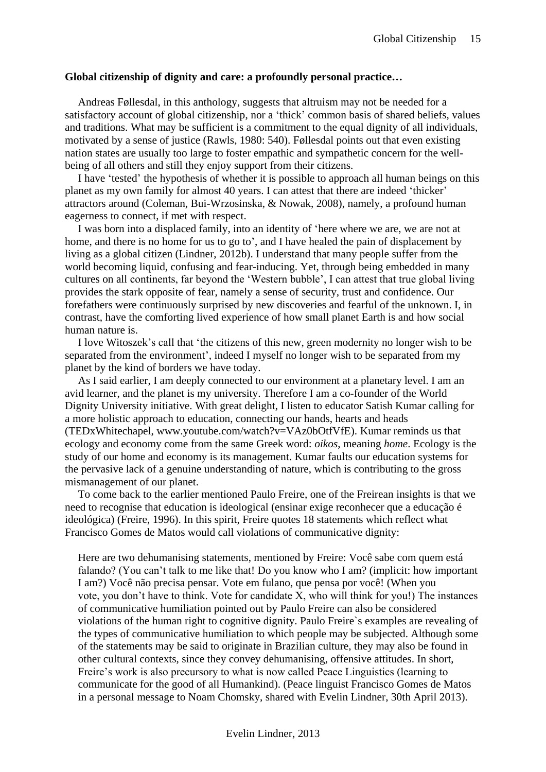#### <span id="page-14-0"></span>**Global citizenship of dignity and care: a profoundly personal practice…**

Andreas Føllesdal, in this anthology, suggests that altruism may not be needed for a satisfactory account of global citizenship, nor a 'thick' common basis of shared beliefs, values and traditions. What may be sufficient is a commitment to the equal dignity of all individuals, motivated by a sense of justice (Rawls, 1980: 540). Føllesdal points out that even existing nation states are usually too large to foster empathic and sympathetic concern for the wellbeing of all others and still they enjoy support from their citizens.

I have 'tested' the hypothesis of whether it is possible to approach all human beings on this planet as my own family for almost 40 years. I can attest that there are indeed 'thicker' attractors around (Coleman, Bui-Wrzosinska, & Nowak, 2008), namely, a profound human eagerness to connect, if met with respect.

I was born into a displaced family, into an identity of 'here where we are, we are not at home, and there is no home for us to go to', and I have healed the pain of displacement by living as a global citizen (Lindner, 2012b). I understand that many people suffer from the world becoming liquid, confusing and fear-inducing. Yet, through being embedded in many cultures on all continents, far beyond the 'Western bubble', I can attest that true global living provides the stark opposite of fear, namely a sense of security, trust and confidence. Our forefathers were continuously surprised by new discoveries and fearful of the unknown. I, in contrast, have the comforting lived experience of how small planet Earth is and how social human nature is.

I love Witoszek's call that 'the citizens of this new, green modernity no longer wish to be separated from the environment', indeed I myself no longer wish to be separated from my planet by the kind of borders we have today.

As I said earlier, I am deeply connected to our environment at a planetary level. I am an avid learner, and the planet is my university. Therefore I am a co-founder of the World Dignity University initiative. With great delight, I listen to educator Satish Kumar calling for a more holistic approach to education, connecting our hands, hearts and heads (TEDxWhitechapel, www.youtube.com/watch?v=VAz0bOtfVfE). Kumar reminds us that ecology and economy come from the same Greek word: *oikos*, meaning *home*. Ecology is the study of our home and economy is its management. Kumar faults our education systems for the pervasive lack of a genuine understanding of nature, which is contributing to the gross mismanagement of our planet.

To come back to the earlier mentioned Paulo Freire, one of the Freirean insights is that we need to recognise that education is ideological (ensinar exige reconhecer que a educação é ideológica) [\(Freire, 1996\)](#page-19-1). In this spirit, Freire quotes 18 statements which reflect what Francisco Gomes de Matos would call violations of communicative dignity:

Here are two dehumanising statements, mentioned by Freire: Você sabe com quem está falando? (You can't talk to me like that! Do you know who I am? (implicit: how important I am?) Você não precisa pensar. Vote em fulano, que pensa por você! (When you vote, you don't have to think. Vote for candidate X, who will think for you!) The instances of communicative humiliation pointed out by Paulo Freire can also be considered violations of the human right to cognitive dignity. Paulo Freire`s examples are revealing of the types of communicative humiliation to which people may be subjected. Although some of the statements may be said to originate in Brazilian culture, they may also be found in other cultural contexts, since they convey dehumanising, offensive attitudes. In short, Freire's work is also precursory to what is now called Peace Linguistics (learning to communicate for the good of all Humankind). (Peace linguist Francisco Gomes de Matos in a personal message to Noam Chomsky, shared with Evelin Lindner, 30th April 2013).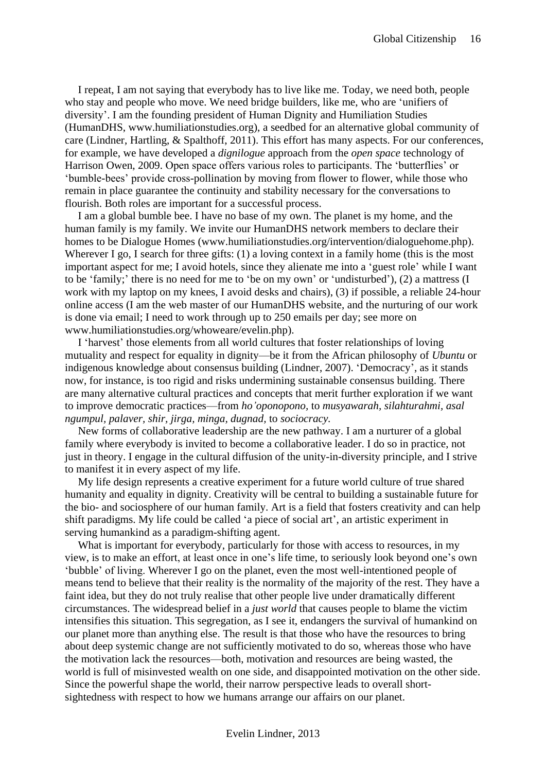I repeat, I am not saying that everybody has to live like me. Today, we need both, people who stay and people who move. We need bridge builders, like me, who are 'unifiers of diversity'. I am the founding president of Human Dignity and Humiliation Studies (HumanDHS, www.humiliationstudies.org), a seedbed for an alternative global community of care (Lindner, Hartling, & Spalthoff, 2011). This effort has many aspects. For our conferences, for example, we have developed a *dignilogue* approach from the *open space* technology of Harrison Owen, 2009. Open space offers various roles to participants. The 'butterflies' or 'bumble-bees' provide cross-pollination by moving from flower to flower, while those who remain in place guarantee the continuity and stability necessary for the conversations to flourish. Both roles are important for a successful process.

I am a global bumble bee. I have no base of my own. The planet is my home, and the human family is my family. We invite our HumanDHS network members to declare their homes to be Dialogue Homes (www.humiliationstudies.org/intervention/dialoguehome.php). Wherever I go, I search for three gifts: (1) a loving context in a family home (this is the most important aspect for me; I avoid hotels, since they alienate me into a 'guest role' while I want to be 'family;' there is no need for me to 'be on my own' or 'undisturbed'), (2) a mattress (I work with my laptop on my knees, I avoid desks and chairs), (3) if possible, a reliable 24-hour online access (I am the web master of our HumanDHS website, and the nurturing of our work is done via email; I need to work through up to 250 emails per day; see more on www.humiliationstudies.org/whoweare/evelin.php).

I 'harvest' those elements from all world cultures that foster relationships of loving mutuality and respect for equality in dignity—be it from the African philosophy of *Ubuntu* or indigenous knowledge about consensus building (Lindner, 2007). 'Democracy', as it stands now, for instance, is too rigid and risks undermining sustainable consensus building. There are many alternative cultural practices and concepts that merit further exploration if we want to improve democratic practices—from *ho'oponopono,* to *musyawarah, silahturahmi, asal ngumpul, palaver, shir, jirga, minga, dugnad,* to *sociocracy.*

New forms of collaborative leadership are the new pathway. I am a nurturer of a global family where everybody is invited to become a collaborative leader. I do so in practice, not just in theory. I engage in the cultural diffusion of the unity-in-diversity principle, and I strive to manifest it in every aspect of my life.

My life design represents a creative experiment for a future world culture of true shared humanity and equality in dignity. Creativity will be central to building a sustainable future for the bio- and sociosphere of our human family. Art is a field that fosters creativity and can help shift paradigms. My life could be called 'a piece of social art', an artistic experiment in serving humankind as a paradigm-shifting agent.

What is important for everybody, particularly for those with access to resources, in my view, is to make an effort, at least once in one's life time, to seriously look beyond one's own 'bubble' of living. Wherever I go on the planet, even the most well-intentioned people of means tend to believe that their reality is the normality of the majority of the rest. They have a faint idea, but they do not truly realise that other people live under dramatically different circumstances. The widespread belief in a *just world* that causes people to blame the victim intensifies this situation. This segregation, as I see it, endangers the survival of humankind on our planet more than anything else. The result is that those who have the resources to bring about deep systemic change are not sufficiently motivated to do so, whereas those who have the motivation lack the resources—both, motivation and resources are being wasted, the world is full of misinvested wealth on one side, and disappointed motivation on the other side. Since the powerful shape the world, their narrow perspective leads to overall shortsightedness with respect to how we humans arrange our affairs on our planet.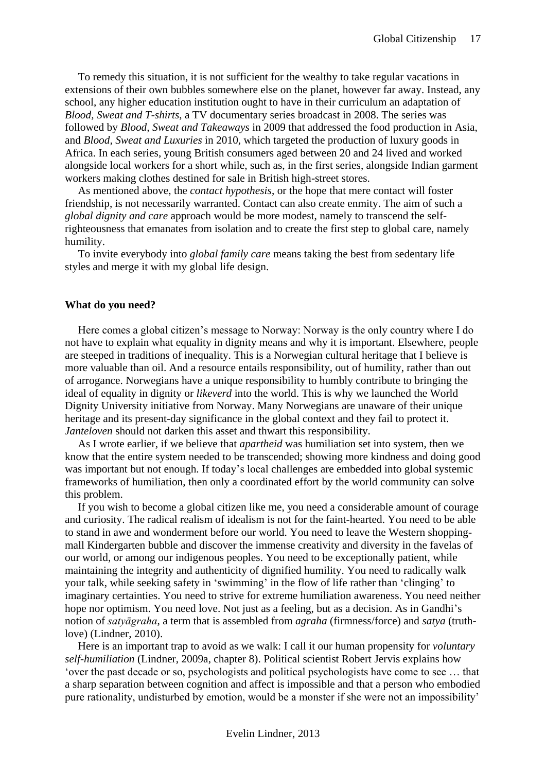To remedy this situation, it is not sufficient for the wealthy to take regular vacations in extensions of their own bubbles somewhere else on the planet, however far away. Instead, any school, any higher education institution ought to have in their curriculum an adaptation of *Blood, Sweat and T-shirts*, a TV documentary series broadcast in 2008. The series was followed by *Blood, Sweat and Takeaways* in 2009 that addressed the food production in Asia, and *Blood, Sweat and Luxuries* in 2010, which targeted the production of luxury goods in Africa. In each series, young British consumers aged between 20 and 24 lived and worked alongside local workers for a short while, such as, in the first series, alongside Indian garment workers making clothes destined for sale in British high-street stores.

As mentioned above, the *contact hypothesis*, or the hope that mere contact will foster friendship, is not necessarily warranted. Contact can also create enmity. The aim of such a *global dignity and care* approach would be more modest, namely to transcend the selfrighteousness that emanates from isolation and to create the first step to global care, namely humility.

To invite everybody into *global family care* means taking the best from sedentary life styles and merge it with my global life design.

#### <span id="page-16-0"></span>**What do you need?**

Here comes a global citizen's message to Norway: Norway is the only country where I do not have to explain what equality in dignity means and why it is important. Elsewhere, people are steeped in traditions of inequality. This is a Norwegian cultural heritage that I believe is more valuable than oil. And a resource entails responsibility, out of humility, rather than out of arrogance. Norwegians have a unique responsibility to humbly contribute to bringing the ideal of equality in dignity or *likeverd* into the world. This is why we launched the World Dignity University initiative from Norway. Many Norwegians are unaware of their unique heritage and its present-day significance in the global context and they fail to protect it. *Janteloven* should not darken this asset and thwart this responsibility.

As I wrote earlier, if we believe that *apartheid* was humiliation set into system, then we know that the entire system needed to be transcended; showing more kindness and doing good was important but not enough. If today's local challenges are embedded into global systemic frameworks of humiliation, then only a coordinated effort by the world community can solve this problem.

If you wish to become a global citizen like me, you need a considerable amount of courage and curiosity. The radical realism of idealism is not for the faint-hearted. You need to be able to stand in awe and wonderment before our world. You need to leave the Western shoppingmall Kindergarten bubble and discover the immense creativity and diversity in the favelas of our world, or among our indigenous peoples. You need to be exceptionally patient, while maintaining the integrity and authenticity of dignified humility. You need to radically walk your talk, while seeking safety in 'swimming' in the flow of life rather than 'clinging' to imaginary certainties. You need to strive for extreme humiliation awareness. You need neither hope nor optimism. You need love. Not just as a feeling, but as a decision. As in Gandhi's notion of *satyāgraha*, a term that is assembled from *agraha* (firmness/force) and *satya* (truthlove) (Lindner, 2010).

Here is an important trap to avoid as we walk: I call it our human propensity for *voluntary self-humiliation* (Lindner, 2009a, chapter 8). Political scientist Robert Jervis explains how 'over the past decade or so, psychologists and political psychologists have come to see … that a sharp separation between cognition and affect is impossible and that a person who embodied pure rationality, undisturbed by emotion, would be a monster if she were not an impossibility'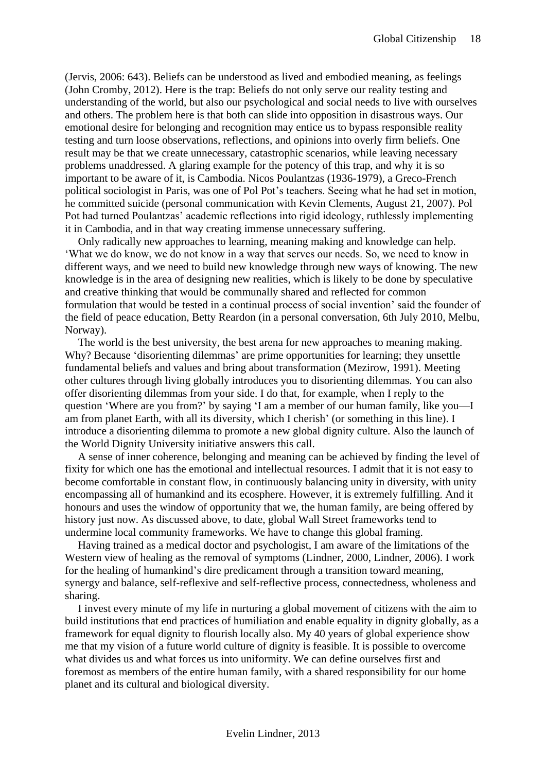(Jervis, 2006: 643). Beliefs can be understood as lived and embodied meaning, as feelings (John Cromby, 2012). Here is the trap: Beliefs do not only serve our reality testing and understanding of the world, but also our psychological and social needs to live with ourselves and others. The problem here is that both can slide into opposition in disastrous ways. Our emotional desire for belonging and recognition may entice us to bypass responsible reality testing and turn loose observations, reflections, and opinions into overly firm beliefs. One result may be that we create unnecessary, catastrophic scenarios, while leaving necessary problems unaddressed. A glaring example for the potency of this trap, and why it is so important to be aware of it, is Cambodia. Nicos Poulantzas (1936-1979), a Greco-French political sociologist in Paris, was one of Pol Pot's teachers. Seeing what he had set in motion, he committed suicide (personal communication with Kevin Clements, August 21, 2007). Pol Pot had turned Poulantzas' academic reflections into rigid ideology, ruthlessly implementing it in Cambodia, and in that way creating immense unnecessary suffering.

Only radically new approaches to learning, meaning making and knowledge can help. 'What we do know, we do not know in a way that serves our needs. So, we need to know in different ways, and we need to build new knowledge through new ways of knowing. The new knowledge is in the area of designing new realities, which is likely to be done by speculative and creative thinking that would be communally shared and reflected for common formulation that would be tested in a continual process of social invention' said the founder of the field of peace education, Betty Reardon (in a personal conversation, 6th July 2010, Melbu, Norway).

The world is the best university, the best arena for new approaches to meaning making. Why? Because 'disorienting dilemmas' are prime opportunities for learning; they unsettle fundamental beliefs and values and bring about transformation (Mezirow, 1991). Meeting other cultures through living globally introduces you to disorienting dilemmas. You can also offer disorienting dilemmas from your side. I do that, for example, when I reply to the question 'Where are you from?' by saying 'I am a member of our human family, like you—I am from planet Earth, with all its diversity, which I cherish' (or something in this line). I introduce a disorienting dilemma to promote a new global dignity culture. Also the launch of the World Dignity University initiative answers this call.

A sense of inner coherence, belonging and meaning can be achieved by finding the level of fixity for which one has the emotional and intellectual resources. I admit that it is not easy to become comfortable in constant flow, in continuously balancing unity in diversity, with unity encompassing all of humankind and its ecosphere. However, it is extremely fulfilling. And it honours and uses the window of opportunity that we, the human family, are being offered by history just now. As discussed above, to date, global Wall Street frameworks tend to undermine local community frameworks. We have to change this global framing.

Having trained as a medical doctor and psychologist, I am aware of the limitations of the Western view of healing as the removal of symptoms (Lindner, 2000, Lindner, 2006). I work for the healing of humankind's dire predicament through a transition toward meaning, synergy and balance, self-reflexive and self-reflective process, connectedness, wholeness and sharing.

I invest every minute of my life in nurturing a global movement of citizens with the aim to build institutions that end practices of humiliation and enable equality in dignity globally, as a framework for equal dignity to flourish locally also. My 40 years of global experience show me that my vision of a future world culture of dignity is feasible. It is possible to overcome what divides us and what forces us into uniformity. We can define ourselves first and foremost as members of the entire human family, with a shared responsibility for our home planet and its cultural and biological diversity.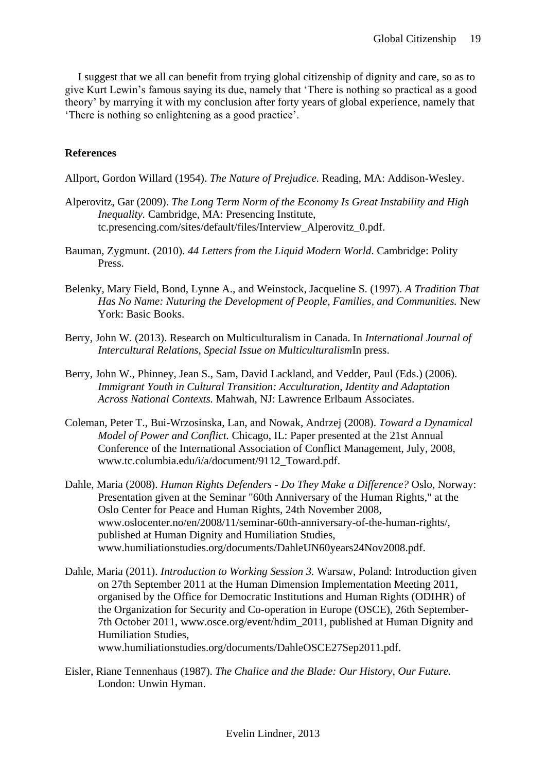I suggest that we all can benefit from trying global citizenship of dignity and care, so as to give Kurt Lewin's famous saying its due, namely that 'There is nothing so practical as a good theory' by marrying it with my conclusion after forty years of global experience, namely that 'There is nothing so enlightening as a good practice'.

# <span id="page-18-0"></span>**References**

Allport, Gordon Willard (1954). *The Nature of Prejudice.* Reading, MA: Addison-Wesley.

- Alperovitz, Gar (2009). *The Long Term Norm of the Economy Is Great Instability and High Inequality.* Cambridge, MA: Presencing Institute, tc.presencing.com/sites/default/files/Interview\_Alperovitz\_0.pdf.
- Bauman, Zygmunt. (2010). *44 Letters from the Liquid Modern World*. Cambridge: Polity Press.
- Belenky, Mary Field, Bond, Lynne A., and Weinstock, Jacqueline S. (1997). *A Tradition That Has No Name: Nuturing the Development of People, Families, and Communities.* New York: Basic Books.
- Berry, John W. (2013). Research on Multiculturalism in Canada. In *International Journal of Intercultural Relations, Special Issue on Multiculturalism*In press.
- Berry, John W., Phinney, Jean S., Sam, David Lackland, and Vedder, Paul (Eds.) (2006). *Immigrant Youth in Cultural Transition: Acculturation, Identity and Adaptation Across National Contexts.* Mahwah, NJ: Lawrence Erlbaum Associates.
- Coleman, Peter T., Bui-Wrzosinska, Lan, and Nowak, Andrzej (2008). *Toward a Dynamical Model of Power and Conflict.* Chicago, IL: Paper presented at the 21st Annual Conference of the International Association of Conflict Management, July, 2008, [www.tc.columbia.edu/i/a/document/9112\\_Toward.pdf.](http://www.tc.columbia.edu/i/a/document/9112_Toward.pdf)
- Dahle, Maria (2008). *Human Rights Defenders - Do They Make a Difference?* Oslo, Norway: Presentation given at the Seminar "60th Anniversary of the Human Rights," at the Oslo Center for Peace and Human Rights, 24th November 2008, [www.oslocenter.no/en/2008/11/seminar-60th-anniversary-of-the-human-rights/,](http://www.oslocenter.no/en/2008/11/seminar-60th-anniversary-of-the-human-rights/) published at Human Dignity and Humiliation Studies, [www.humiliationstudies.org/documents/DahleUN60years24Nov2008.pdf.](http://www.humiliationstudies.org/documents/DahleUN60years24Nov2008.pdf)
- Dahle, Maria (2011). *Introduction to Working Session 3.* Warsaw, Poland: Introduction given on 27th September 2011 at the Human Dimension Implementation Meeting 2011, organised by the Office for Democratic Institutions and Human Rights (ODIHR) of the Organization for Security and Co-operation in Europe (OSCE), 26th September-7th October 2011, [www.osce.org/event/hdim\\_2011,](http://www.osce.org/event/hdim_2011) published at Human Dignity and Humiliation Studies, [www.humiliationstudies.org/documents/DahleOSCE27Sep2011.pdf.](http://www.humiliationstudies.org/documents/DahleOSCE27Sep2011.pdf)
	-
- Eisler, Riane Tennenhaus (1987). *The Chalice and the Blade: Our History, Our Future.*  London: Unwin Hyman.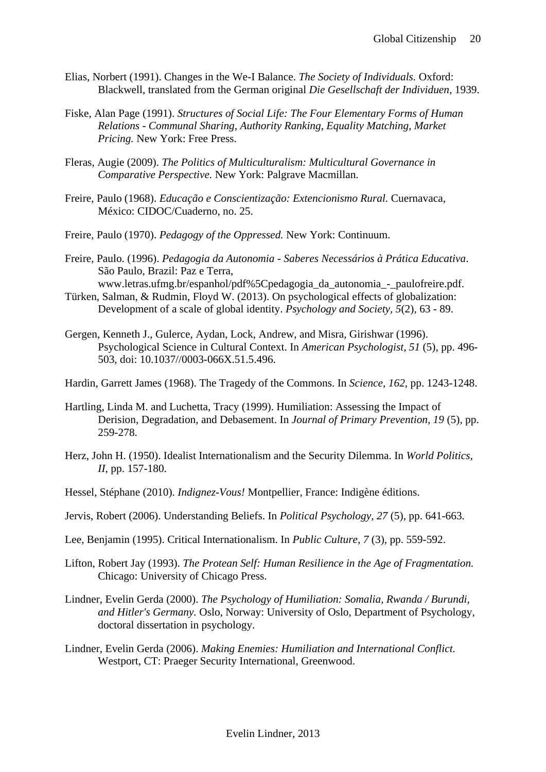- Elias, Norbert (1991). Changes in the We-I Balance. *The Society of Individuals.* Oxford: Blackwell, translated from the German original *Die Gesellschaft der Individuen*, 1939.
- Fiske, Alan Page (1991). *Structures of Social Life: The Four Elementary Forms of Human Relations - Communal Sharing, Authority Ranking, Equality Matching, Market Pricing.* New York: Free Press.
- Fleras, Augie (2009). *The Politics of Multiculturalism: Multicultural Governance in Comparative Perspective.* New York: Palgrave Macmillan.
- Freire, Paulo (1968). *Educação e Conscientização: Extencionismo Rural.* Cuernavaca, México: CIDOC/Cuaderno, no. 25.
- Freire, Paulo (1970). *Pedagogy of the Oppressed.* New York: Continuum.
- <span id="page-19-1"></span>Freire, Paulo. (1996). *Pedagogia da Autonomia - Saberes Necessários à Prática Educativa*. São Paulo, Brazil: Paz e Terra,
- <span id="page-19-0"></span>[www.letras.ufmg.br/espanhol/pdf%5Cpedagogia\\_da\\_autonomia\\_-\\_paulofreire.pdf.](http://www.letras.ufmg.br/espanhol/pdf%5Cpedagogia_da_autonomia_-_paulofreire.pdf) Türken, Salman, & Rudmin, Floyd W. (2013). On psychological effects of globalization: Development of a scale of global identity. *Psychology and Society, 5*(2), 63 - 89.
- Gergen, Kenneth J., Gulerce, Aydan, Lock, Andrew, and Misra, Girishwar (1996). Psychological Science in Cultural Context. In *American Psychologist, 51* (5), pp. 496- 503, doi: 10.1037//0003-066X.51.5.496.
- Hardin, Garrett James (1968). The Tragedy of the Commons. In *Science, 162*, pp. 1243-1248.
- Hartling, Linda M. and Luchetta, Tracy (1999). Humiliation: Assessing the Impact of Derision, Degradation, and Debasement. In *Journal of Primary Prevention, 19* (5), pp. 259-278.
- Herz, John H. (1950). Idealist Internationalism and the Security Dilemma. In *World Politics, II*, pp. 157-180.
- Hessel, Stéphane (2010). *Indignez-Vous!* Montpellier, France: Indigène éditions.
- Jervis, Robert (2006). Understanding Beliefs. In *Political Psychology, 27* (5), pp. 641-663.
- Lee, Benjamin (1995). Critical Internationalism. In *Public Culture, 7* (3), pp. 559-592.
- Lifton, Robert Jay (1993). *The Protean Self: Human Resilience in the Age of Fragmentation.*  Chicago: University of Chicago Press.
- Lindner, Evelin Gerda (2000). *The Psychology of Humiliation: Somalia, Rwanda / Burundi, and Hitler's Germany.* Oslo, Norway: University of Oslo, Department of Psychology, doctoral dissertation in psychology.
- Lindner, Evelin Gerda (2006). *Making Enemies: Humiliation and International Conflict.*  Westport, CT: Praeger Security International, Greenwood.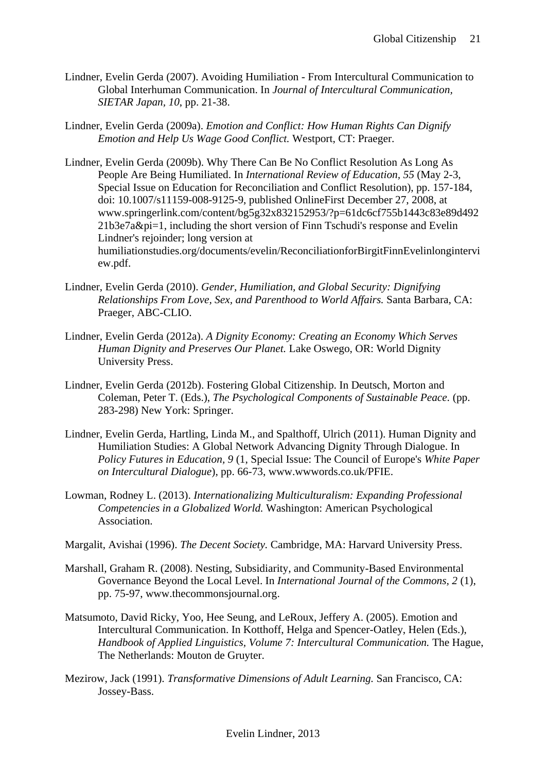- Lindner, Evelin Gerda (2007). Avoiding Humiliation From Intercultural Communication to Global Interhuman Communication. In *Journal of Intercultural Communication, SIETAR Japan, 10*, pp. 21-38.
- Lindner, Evelin Gerda (2009a). *Emotion and Conflict: How Human Rights Can Dignify Emotion and Help Us Wage Good Conflict.* Westport, CT: Praeger.

Lindner, Evelin Gerda (2009b). Why There Can Be No Conflict Resolution As Long As People Are Being Humiliated. In *International Review of Education, 55* (May 2-3, Special Issue on Education for Reconciliation and Conflict Resolution), pp. 157-184, doi: 10.1007/s11159-008-9125-9, published OnlineFirst December 27, 2008, at [www.springerlink.com/content/bg5g32x832152953/?p=61dc6cf755b1443c83e89d492](http://www.springerlink.com/content/bg5g32x832152953/?p=61dc6cf755b1443c83e89d49221b3e7a&pi=1)  $21b3e7a\π=1$ , including the short version of Finn Tschudi's response and Evelin Lindner's rejoinder; long version at humiliationstudies.org/documents/evelin/ReconciliationforBirgitFinnEvelinlongintervi ew.pdf.

- Lindner, Evelin Gerda (2010). *Gender, Humiliation, and Global Security: Dignifying Relationships From Love, Sex, and Parenthood to World Affairs.* Santa Barbara, CA: Praeger, ABC-CLIO.
- Lindner, Evelin Gerda (2012a). *A Dignity Economy: Creating an Economy Which Serves Human Dignity and Preserves Our Planet.* Lake Oswego, OR: World Dignity University Press.
- Lindner, Evelin Gerda (2012b). Fostering Global Citizenship. In Deutsch, Morton and Coleman, Peter T. (Eds.), *The Psychological Components of Sustainable Peace.* (pp. 283-298) New York: Springer.
- Lindner, Evelin Gerda, Hartling, Linda M., and Spalthoff, Ulrich (2011). Human Dignity and Humiliation Studies: A Global Network Advancing Dignity Through Dialogue. In *Policy Futures in Education, 9* (1, Special Issue: The Council of Europe's *White Paper on Intercultural Dialogue*), pp. 66-73, [www.wwwords.co.uk/PFIE.](http://www.wwwords.co.uk/PFIE)
- Lowman, Rodney L. (2013). *Internationalizing Multiculturalism: Expanding Professional Competencies in a Globalized World.* Washington: American Psychological Association.
- Margalit, Avishai (1996). *The Decent Society.* Cambridge, MA: Harvard University Press.
- Marshall, Graham R. (2008). Nesting, Subsidiarity, and Community-Based Environmental Governance Beyond the Local Level. In *International Journal of the Commons, 2* (1), pp. 75-97, [www.thecommonsjournal.org.](http://www.thecommonsjournal.org/)
- Matsumoto, David Ricky, Yoo, Hee Seung, and LeRoux, Jeffery A. (2005). Emotion and Intercultural Communication. In Kotthoff, Helga and Spencer-Oatley, Helen (Eds.), *Handbook of Applied Linguistics, Volume 7: Intercultural Communication.* The Hague, The Netherlands: Mouton de Gruyter.
- Mezirow, Jack (1991). *Transformative Dimensions of Adult Learning.* San Francisco, CA: Jossey-Bass.